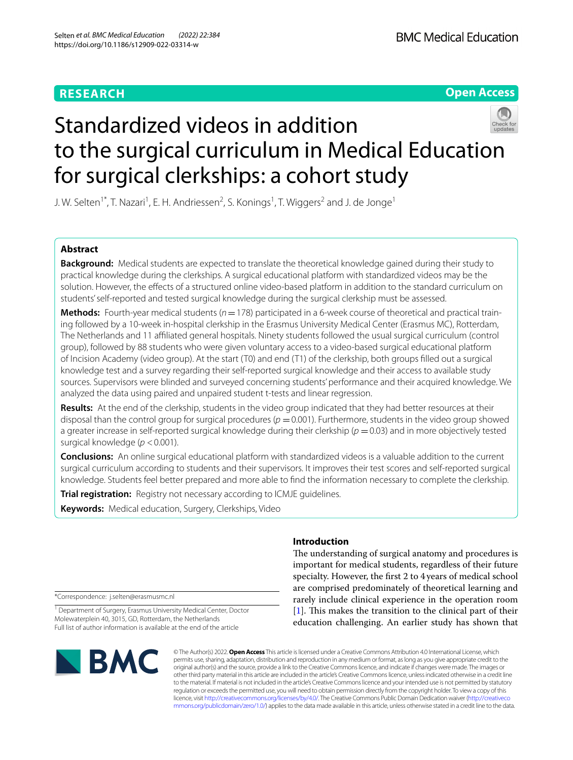# **RESEARCH**

**Open Access**

# Standardized videos in addition to the surgical curriculum in Medical Education for surgical clerkships: a cohort study

J. W. Selten<sup>1\*</sup>, T. Nazari<sup>1</sup>, E. H. Andriessen<sup>2</sup>, S. Konings<sup>1</sup>, T. Wiggers<sup>2</sup> and J. de Jonge<sup>1</sup>

# **Abstract**

**Background:** Medical students are expected to translate the theoretical knowledge gained during their study to practical knowledge during the clerkships. A surgical educational platform with standardized videos may be the solution. However, the efects of a structured online video-based platform in addition to the standard curriculum on students' self-reported and tested surgical knowledge during the surgical clerkship must be assessed.

**Methods:** Fourth-year medical students ( $n = 178$ ) participated in a 6-week course of theoretical and practical training followed by a 10-week in-hospital clerkship in the Erasmus University Medical Center (Erasmus MC), Rotterdam, The Netherlands and 11 afliated general hospitals. Ninety students followed the usual surgical curriculum (control group), followed by 88 students who were given voluntary access to a video-based surgical educational platform of Incision Academy (video group). At the start (T0) and end (T1) of the clerkship, both groups flled out a surgical knowledge test and a survey regarding their self-reported surgical knowledge and their access to available study sources. Supervisors were blinded and surveyed concerning students' performance and their acquired knowledge. We analyzed the data using paired and unpaired student t-tests and linear regression.

**Results:** At the end of the clerkship, students in the video group indicated that they had better resources at their disposal than the control group for surgical procedures ( $p = 0.001$ ). Furthermore, students in the video group showed a greater increase in self-reported surgical knowledge during their clerkship ( $p = 0.03$ ) and in more objectively tested surgical knowledge ( $p < 0.001$ ).

**Conclusions:** An online surgical educational platform with standardized videos is a valuable addition to the current surgical curriculum according to students and their supervisors. It improves their test scores and self-reported surgical knowledge. Students feel better prepared and more able to fnd the information necessary to complete the clerkship.

**Trial registration:** Registry not necessary according to ICMJE guidelines.

**Keywords:** Medical education, Surgery, Clerkships, Video

# **Introduction**

The understanding of surgical anatomy and procedures is important for medical students, regardless of their future specialty. However, the frst 2 to 4years of medical school are comprised predominately of theoretical learning and rarely include clinical experience in the operation room  $[1]$  $[1]$ . This makes the transition to the clinical part of their education challenging. An earlier study has shown that

\*Correspondence: j.selten@erasmusmc.nl

<sup>1</sup> Department of Surgery, Erasmus University Medical Center, Doctor Molewaterplein 40, 3015, GD, Rotterdam, the Netherlands Full list of author information is available at the end of the article



© The Author(s) 2022. **Open Access** This article is licensed under a Creative Commons Attribution 4.0 International License, which permits use, sharing, adaptation, distribution and reproduction in any medium or format, as long as you give appropriate credit to the original author(s) and the source, provide a link to the Creative Commons licence, and indicate if changes were made. The images or other third party material in this article are included in the article's Creative Commons licence, unless indicated otherwise in a credit line to the material. If material is not included in the article's Creative Commons licence and your intended use is not permitted by statutory regulation or exceeds the permitted use, you will need to obtain permission directly from the copyright holder. To view a copy of this licence, visit [http://creativecommons.org/licenses/by/4.0/.](http://creativecommons.org/licenses/by/4.0/) The Creative Commons Public Domain Dedication waiver ([http://creativeco](http://creativecommons.org/publicdomain/zero/1.0/) [mmons.org/publicdomain/zero/1.0/](http://creativecommons.org/publicdomain/zero/1.0/)) applies to the data made available in this article, unless otherwise stated in a credit line to the data.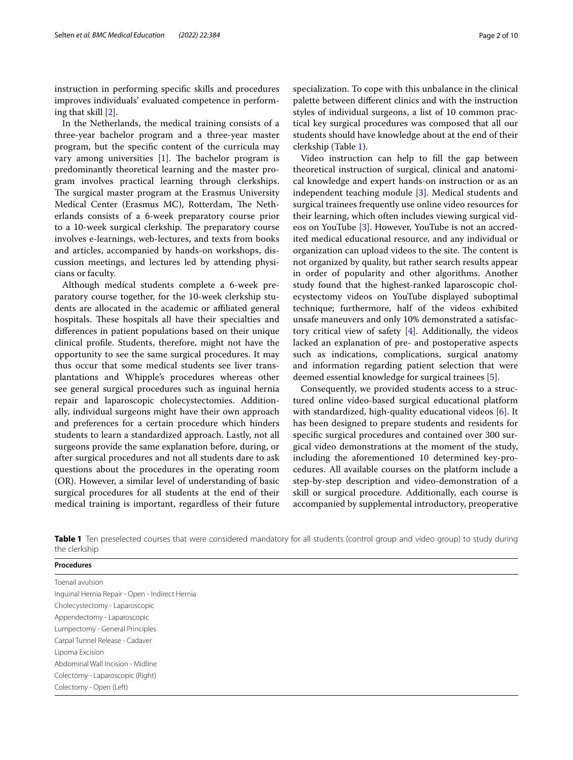instruction in performing specifc skills and procedures improves individuals' evaluated competence in performing that skill [\[2](#page-9-1)].

In the Netherlands, the medical training consists of a three-year bachelor program and a three-year master program, but the specifc content of the curricula may vary among universities  $[1]$  $[1]$ . The bachelor program is predominantly theoretical learning and the master program involves practical learning through clerkships. The surgical master program at the Erasmus University Medical Center (Erasmus MC), Rotterdam, The Netherlands consists of a 6-week preparatory course prior to a 10-week surgical clerkship. The preparatory course involves e-learnings, web-lectures, and texts from books and articles, accompanied by hands-on workshops, discussion meetings, and lectures led by attending physicians or faculty.

Although medical students complete a 6-week preparatory course together, for the 10-week clerkship students are allocated in the academic or afliated general hospitals. These hospitals all have their specialties and diferences in patient populations based on their unique clinical profle. Students, therefore, might not have the opportunity to see the same surgical procedures. It may thus occur that some medical students see liver transplantations and Whipple's procedures whereas other see general surgical procedures such as inguinal hernia repair and laparoscopic cholecystectomies. Additionally, individual surgeons might have their own approach and preferences for a certain procedure which hinders students to learn a standardized approach. Lastly, not all surgeons provide the same explanation before, during, or after surgical procedures and not all students dare to ask questions about the procedures in the operating room (OR). However, a similar level of understanding of basic surgical procedures for all students at the end of their medical training is important, regardless of their future

specialization. To cope with this unbalance in the clinical palette between diferent clinics and with the instruction styles of individual surgeons, a list of 10 common practical key surgical procedures was composed that all our students should have knowledge about at the end of their clerkship (Table [1](#page-1-0)).

Video instruction can help to fll the gap between theoretical instruction of surgical, clinical and anatomical knowledge and expert hands-on instruction or as an independent teaching module [\[3](#page-9-2)]. Medical students and surgical trainees frequently use online video resources for their learning, which often includes viewing surgical videos on YouTube [\[3](#page-9-2)]. However, YouTube is not an accredited medical educational resource, and any individual or organization can upload videos to the site. The content is not organized by quality, but rather search results appear in order of popularity and other algorithms. Another study found that the highest-ranked laparoscopic cholecystectomy videos on YouTube displayed suboptimal technique; furthermore, half of the videos exhibited unsafe maneuvers and only 10% demonstrated a satisfactory critical view of safety [\[4](#page-9-3)]. Additionally, the videos lacked an explanation of pre- and postoperative aspects such as indications, complications, surgical anatomy and information regarding patient selection that were deemed essential knowledge for surgical trainees [\[5](#page-9-4)].

Consequently, we provided students access to a structured online video-based surgical educational platform with standardized, high-quality educational videos [\[6\]](#page-9-5). It has been designed to prepare students and residents for specifc surgical procedures and contained over 300 surgical video demonstrations at the moment of the study, including the aforementioned 10 determined key-procedures. All available courses on the platform include a step-by-step description and video-demonstration of a skill or surgical procedure. Additionally, each course is accompanied by supplemental introductory, preoperative

<span id="page-1-0"></span>**Table 1** Ten preselected courses that were considered mandatory for all students (control group and video group) to study during the clerkship

| Toenail avulsion                                |
|-------------------------------------------------|
| Inguinal Hernia Repair - Open - Indirect Hernia |
| Cholecystectomy - Laparoscopic                  |
| Appendectomy - Laparoscopic                     |
| Lumpectomy - General Principles                 |
| Carpal Tunnel Release - Cadaver                 |
| Lipoma Excision                                 |
| Abdominal Wall Incision - Midline               |
| Colectomy - Laparoscopic (Right)                |
| Colectomy - Open (Left)                         |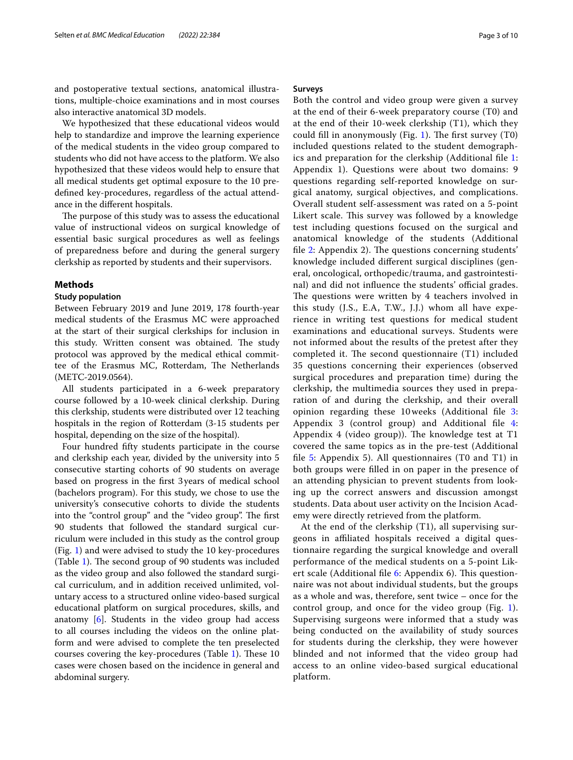and postoperative textual sections, anatomical illustrations, multiple-choice examinations and in most courses also interactive anatomical 3D models.

We hypothesized that these educational videos would help to standardize and improve the learning experience of the medical students in the video group compared to students who did not have access to the platform. We also hypothesized that these videos would help to ensure that all medical students get optimal exposure to the 10 predefned key-procedures, regardless of the actual attendance in the diferent hospitals.

The purpose of this study was to assess the educational value of instructional videos on surgical knowledge of essential basic surgical procedures as well as feelings of preparedness before and during the general surgery clerkship as reported by students and their supervisors.

### **Methods**

#### **Study population**

Between February 2019 and June 2019, 178 fourth-year medical students of the Erasmus MC were approached at the start of their surgical clerkships for inclusion in this study. Written consent was obtained. The study protocol was approved by the medical ethical committee of the Erasmus MC, Rotterdam, The Netherlands (METC-2019.0564).

All students participated in a 6-week preparatory course followed by a 10-week clinical clerkship. During this clerkship, students were distributed over 12 teaching hospitals in the region of Rotterdam (3-15 students per hospital, depending on the size of the hospital).

Four hundred ffty students participate in the course and clerkship each year, divided by the university into 5 consecutive starting cohorts of 90 students on average based on progress in the frst 3 years of medical school (bachelors program). For this study, we chose to use the university's consecutive cohorts to divide the students into the "control group" and the "video group". The first 90 students that followed the standard surgical curriculum were included in this study as the control group (Fig. [1](#page-3-0)) and were advised to study the 10 key-procedures (Table [1](#page-1-0)). The second group of 90 students was included as the video group and also followed the standard surgical curriculum, and in addition received unlimited, voluntary access to a structured online video-based surgical educational platform on surgical procedures, skills, and anatomy  $[6]$  $[6]$ . Students in the video group had access to all courses including the videos on the online platform and were advised to complete the ten preselected courses covering the key-procedures (Table [1](#page-1-0)). These 10 cases were chosen based on the incidence in general and abdominal surgery.

# **Surveys**

Both the control and video group were given a survey at the end of their 6-week preparatory course (T0) and at the end of their 10-week clerkship (T1), which they could fill in anonymously (Fig. [1](#page-3-0)). The first survey  $(T0)$ included questions related to the student demographics and preparation for the clerkship (Additional fle [1](#page-8-0): Appendix 1). Questions were about two domains: 9 questions regarding self-reported knowledge on surgical anatomy, surgical objectives, and complications. Overall student self-assessment was rated on a 5-point Likert scale. This survey was followed by a knowledge test including questions focused on the surgical and anatomical knowledge of the students (Additional file  $2$ : Appendix 2). The questions concerning students' knowledge included diferent surgical disciplines (general, oncological, orthopedic/trauma, and gastrointestinal) and did not influence the students' official grades. The questions were written by 4 teachers involved in this study (J.S., E.A, T.W., J.J.) whom all have experience in writing test questions for medical student examinations and educational surveys. Students were not informed about the results of the pretest after they completed it. The second questionnaire  $(T1)$  included 35 questions concerning their experiences (observed surgical procedures and preparation time) during the clerkship, the multimedia sources they used in preparation of and during the clerkship, and their overall opinion regarding these 10 weeks (Additional fle [3](#page-8-2): Appendix 3 (control group) and Additional fle [4](#page-8-3): Appendix 4 (video group)). The knowledge test at  $T1$ covered the same topics as in the pre-test (Additional file  $5$ : Appendix 5). All questionnaires (T0 and T1) in both groups were flled in on paper in the presence of an attending physician to prevent students from looking up the correct answers and discussion amongst students. Data about user activity on the Incision Academy were directly retrieved from the platform.

At the end of the clerkship (T1), all supervising surgeons in afliated hospitals received a digital questionnaire regarding the surgical knowledge and overall performance of the medical students on a 5-point Lik-ert scale (Additional file [6:](#page-8-5) Appendix 6). This questionnaire was not about individual students, but the groups as a whole and was, therefore, sent twice – once for the control group, and once for the video group (Fig. [1](#page-3-0)). Supervising surgeons were informed that a study was being conducted on the availability of study sources for students during the clerkship, they were however blinded and not informed that the video group had access to an online video-based surgical educational platform.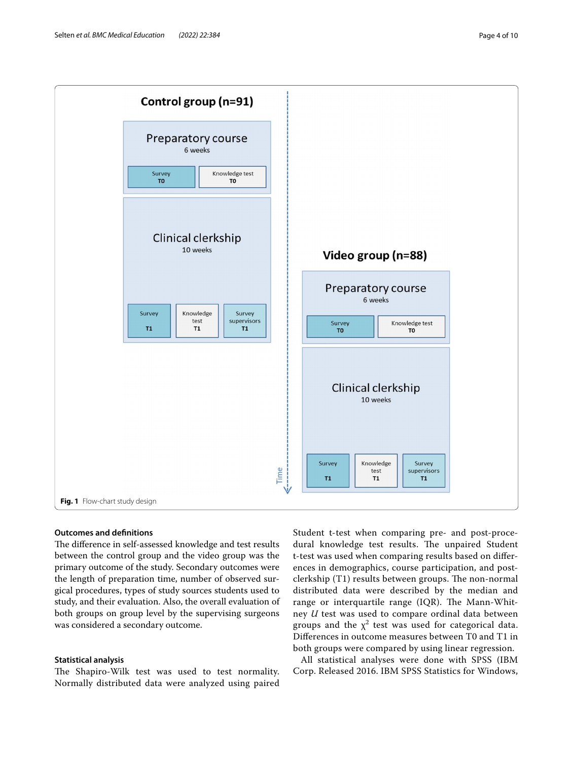

# <span id="page-3-0"></span>**Outcomes and defnitions**

The difference in self-assessed knowledge and test results between the control group and the video group was the primary outcome of the study. Secondary outcomes were the length of preparation time, number of observed surgical procedures, types of study sources students used to study, and their evaluation. Also, the overall evaluation of both groups on group level by the supervising surgeons was considered a secondary outcome.

# **Statistical analysis**

The Shapiro-Wilk test was used to test normality. Normally distributed data were analyzed using paired Student t-test when comparing pre- and post-procedural knowledge test results. The unpaired Student t-test was used when comparing results based on diferences in demographics, course participation, and post $clerkship (T1) results between groups. The non-normal$ distributed data were described by the median and range or interquartile range (IQR). The Mann-Whitney *U* test was used to compare ordinal data between groups and the  $\chi^2$  test was used for categorical data. Diferences in outcome measures between T0 and T1 in both groups were compared by using linear regression.

All statistical analyses were done with SPSS (IBM Corp. Released 2016. IBM SPSS Statistics for Windows,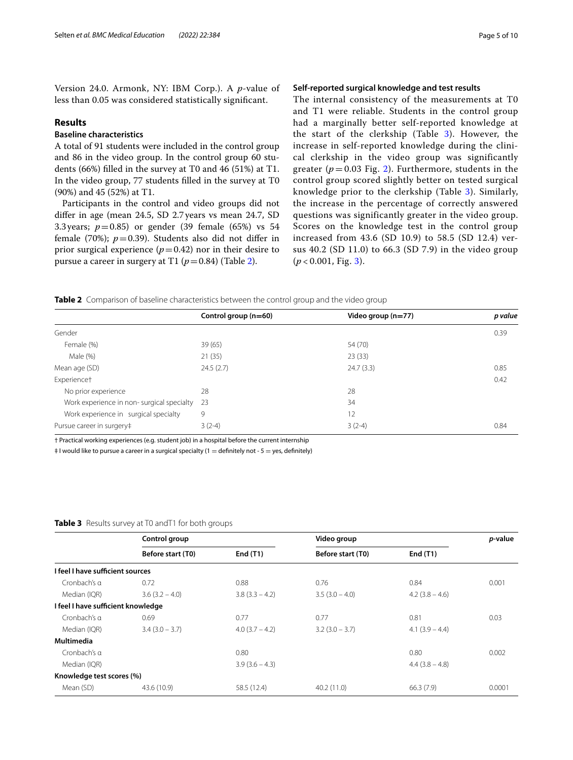Version 24.0. Armonk, NY: IBM Corp.). A *p*-value of less than 0.05 was considered statistically signifcant.

# **Results**

# **Baseline characteristics**

A total of 91 students were included in the control group and 86 in the video group. In the control group 60 students (66%) flled in the survey at T0 and 46 (51%) at T1. In the video group, 77 students flled in the survey at T0 (90%) and 45 (52%) at T1.

Participants in the control and video groups did not difer in age (mean 24.5, SD 2.7 years vs mean 24.7, SD 3.3 years;  $p = 0.85$ ) or gender (39 female (65%) vs 54 female (70%);  $p=0.39$ ). Students also did not differ in prior surgical experience  $(p=0.42)$  nor in their desire to pursue a career in surgery at T1 ( $p$  = 0.84) (Table [2](#page-4-0)).

# **Self‑reported surgical knowledge and test results**

The internal consistency of the measurements at T0 and T1 were reliable. Students in the control group had a marginally better self-reported knowledge at the start of the clerkship (Table [3](#page-4-1)). However, the increase in self-reported knowledge during the clinical clerkship in the video group was significantly greater  $(p=0.03 \text{ Fig. 2})$  $(p=0.03 \text{ Fig. 2})$  $(p=0.03 \text{ Fig. 2})$ . Furthermore, students in the control group scored slightly better on tested surgical knowledge prior to the clerkship (Table [3\)](#page-4-1). Similarly, the increase in the percentage of correctly answered questions was significantly greater in the video group. Scores on the knowledge test in the control group increased from 43.6 (SD 10.9) to 58.5 (SD 12.4) versus 40.2 (SD 11.0) to 66.3 (SD 7.9) in the video group (*p* < 0.001, Fig. [3\)](#page-5-1).

<span id="page-4-0"></span>**Table 2** Comparison of baseline characteristics between the control group and the video group

|                                           | Control group (n=60) | Video group $(n=77)$ | p value |
|-------------------------------------------|----------------------|----------------------|---------|
| Gender                                    |                      |                      | 0.39    |
| Female (%)                                | 39(65)               | 54 (70)              |         |
| Male (%)                                  | 21(35)               | 23(33)               |         |
| Mean age (SD)                             | 24.5(2.7)            | 24.7(3.3)            | 0.85    |
| Experiencet                               |                      |                      | 0.42    |
| No prior experience                       | 28                   | 28                   |         |
| Work experience in non-surgical specialty | -23                  | 34                   |         |
| Work experience in surgical specialty     | 9                    | 12                   |         |
| Pursue career in surgery#                 | $3(2-4)$             | $3(2-4)$             | 0.84    |

† Practical working experiences (e.g. student job) in a hospital before the current internship

 $\ddagger$  I would like to pursue a career in a surgical specialty (1 = definitely not - 5 = yes, definitely)

#### <span id="page-4-1"></span>**Table 3** Results survey at T0 andT1 for both groups

|                                    | Control group     |                  | Video group       |                  | p-value |
|------------------------------------|-------------------|------------------|-------------------|------------------|---------|
|                                    | Before start (T0) | End $(T1)$       | Before start (T0) | End $(T1)$       |         |
| I feel I have sufficient sources   |                   |                  |                   |                  |         |
| Cronbach's a                       | 0.72              | 0.88             | 0.76              | 0.84             | 0.001   |
| Median (IQR)                       | $3.6(3.2 - 4.0)$  | $3.8(3.3 - 4.2)$ | $3.5(3.0 - 4.0)$  | $4.2(3.8 - 4.6)$ |         |
| I feel I have sufficient knowledge |                   |                  |                   |                  |         |
| Cronbach's q                       | 0.69              | 0.77             | 0.77              | 0.81             | 0.03    |
| Median (IQR)                       | $3.4(3.0 - 3.7)$  | $4.0(3.7 - 4.2)$ | $3.2(3.0 - 3.7)$  | $4.1(3.9 - 4.4)$ |         |
| Multimedia                         |                   |                  |                   |                  |         |
| Cronbach's a                       |                   | 0.80             |                   | 0.80             | 0.002   |
| Median (IQR)                       |                   | $3.9(3.6 - 4.3)$ |                   | $4.4(3.8 - 4.8)$ |         |
| Knowledge test scores (%)          |                   |                  |                   |                  |         |
| Mean (SD)                          | 43.6 (10.9)       | 58.5 (12.4)      | 40.2(11.0)        | 66.3(7.9)        | 0.0001  |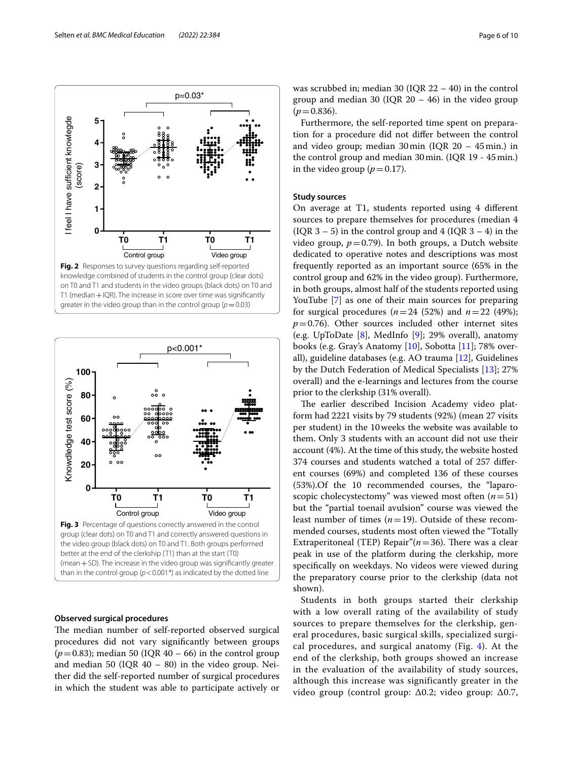

<span id="page-5-0"></span>

# <span id="page-5-1"></span>**Observed surgical procedures**

The median number of self-reported observed surgical procedures did not vary signifcantly between groups  $(p=0.83)$ ; median 50 (IQR 40 – 66) in the control group and median 50 (IQR  $40 - 80$ ) in the video group. Neither did the self-reported number of surgical procedures in which the student was able to participate actively or was scrubbed in; median 30 (IQR 22 – 40) in the control group and median 30 (IQR  $20 - 46$ ) in the video group  $(p=0.836)$ .

Furthermore, the self-reported time spent on preparation for a procedure did not difer between the control and video group; median 30min (IQR 20 – 45min.) in the control group and median 30min. (IQR 19 - 45min.) in the video group  $(p=0.17)$ .

#### **Study sources**

On average at T1, students reported using 4 diferent sources to prepare themselves for procedures (median 4  $( IQR 3 – 5)$  in the control group and 4  $( IQR 3 – 4)$  in the video group,  $p=0.79$ ). In both groups, a Dutch website dedicated to operative notes and descriptions was most frequently reported as an important source (65% in the control group and 62% in the video group). Furthermore, in both groups, almost half of the students reported using YouTube [\[7](#page-9-6)] as one of their main sources for preparing for surgical procedures  $(n=24 \ (52%)$  and  $n=22 \ (49%)$ ;  $p=0.76$ ). Other sources included other internet sites (e.g. UpToDate [\[8](#page-9-7)], MedInfo [[9](#page-9-8)]; 29% overall), anatomy books (e.g. Gray's Anatomy [[10\]](#page-9-9), Sobotta [[11\]](#page-9-10); 78% overall), guideline databases (e.g. AO trauma [[12\]](#page-9-11), Guidelines by the Dutch Federation of Medical Specialists [[13\]](#page-9-12); 27% overall) and the e-learnings and lectures from the course prior to the clerkship (31% overall).

The earlier described Incision Academy video platform had 2221 visits by 79 students (92%) (mean 27 visits per student) in the 10weeks the website was available to them. Only 3 students with an account did not use their account (4%). At the time of this study, the website hosted 374 courses and students watched a total of 257 diferent courses (69%) and completed 136 of these courses (53%).Of the 10 recommended courses, the "laparoscopic cholecystectomy" was viewed most often (*n*=51) but the "partial toenail avulsion" course was viewed the least number of times (*n*=19). Outside of these recommended courses, students most often viewed the "Totally Extraperitoneal (TEP) Repair" $(n=36)$ . There was a clear peak in use of the platform during the clerkship, more specifcally on weekdays. No videos were viewed during the preparatory course prior to the clerkship (data not shown).

Students in both groups started their clerkship with a low overall rating of the availability of study sources to prepare themselves for the clerkship, general procedures, basic surgical skills, specialized surgical procedures, and surgical anatomy (Fig. [4\)](#page-6-0). At the end of the clerkship, both groups showed an increase in the evaluation of the availability of study sources, although this increase was significantly greater in the video group (control group: ∆0.2; video group: ∆0.7,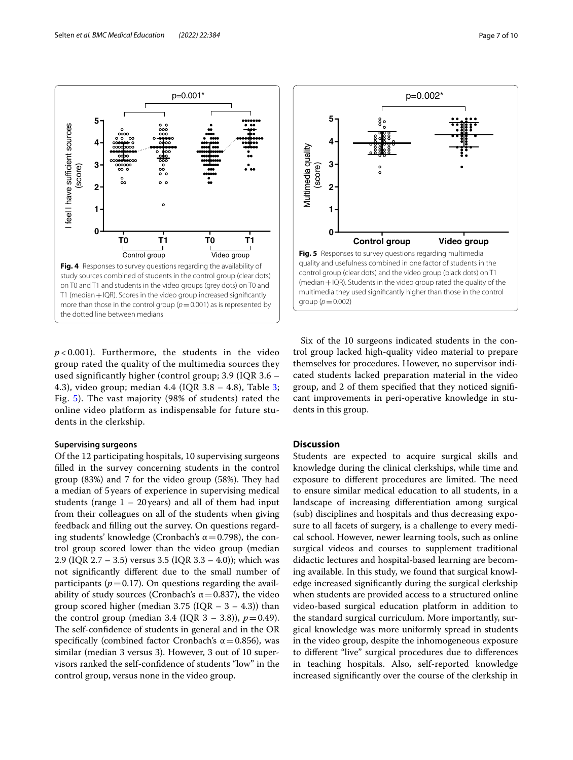

<span id="page-6-0"></span> $p$  < 0.001). Furthermore, the students in the video group rated the quality of the multimedia sources they used significantly higher (control group; 3.9 (IQR 3.6 – 4.3), video group; median 4.4 (IQR 3.8 – 4.8), Table [3](#page-4-1); Fig. [5](#page-6-1)). The vast majority (98% of students) rated the online video platform as indispensable for future students in the clerkship.

# **Supervising surgeons**

Of the 12 participating hospitals, 10 supervising surgeons flled in the survey concerning students in the control group  $(83%)$  and 7 for the video group  $(58%)$ . They had a median of 5years of experience in supervising medical students (range  $1 - 20$  years) and all of them had input from their colleagues on all of the students when giving feedback and flling out the survey. On questions regarding students' knowledge (Cronbach's  $\alpha$  = 0.798), the control group scored lower than the video group (median 2.9 (IQR 2.7 – 3.5) versus 3.5 (IQR 3.3 – 4.0)); which was not signifcantly diferent due to the small number of participants ( $p=0.17$ ). On questions regarding the availability of study sources (Cronbach's  $\alpha$  = 0.837), the video group scored higher (median  $3.75$  (IQR  $- 3 - 4.3$ )) than the control group (median 3.4 (IQR  $3 - 3.8$ )),  $p = 0.49$ ). The self-confidence of students in general and in the OR specifically (combined factor Cronbach's  $\alpha$  = 0.856), was similar (median 3 versus 3). However, 3 out of 10 supervisors ranked the self-confdence of students "low" in the control group, versus none in the video group.



<span id="page-6-1"></span>Six of the 10 surgeons indicated students in the control group lacked high-quality video material to prepare themselves for procedures. However, no supervisor indicated students lacked preparation material in the video group, and 2 of them specifed that they noticed signifcant improvements in peri-operative knowledge in stu-

### **Discussion**

dents in this group.

Students are expected to acquire surgical skills and knowledge during the clinical clerkships, while time and exposure to different procedures are limited. The need to ensure similar medical education to all students, in a landscape of increasing diferentiation among surgical (sub) disciplines and hospitals and thus decreasing exposure to all facets of surgery, is a challenge to every medical school. However, newer learning tools, such as online surgical videos and courses to supplement traditional didactic lectures and hospital-based learning are becoming available. In this study, we found that surgical knowledge increased signifcantly during the surgical clerkship when students are provided access to a structured online video-based surgical education platform in addition to the standard surgical curriculum. More importantly, surgical knowledge was more uniformly spread in students in the video group, despite the inhomogeneous exposure to diferent "live" surgical procedures due to diferences in teaching hospitals. Also, self-reported knowledge increased signifcantly over the course of the clerkship in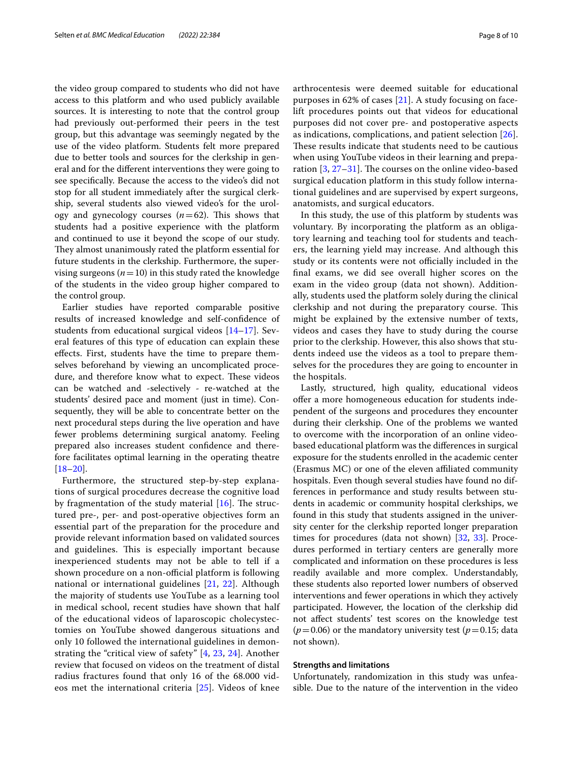the video group compared to students who did not have access to this platform and who used publicly available sources. It is interesting to note that the control group had previously out-performed their peers in the test group, but this advantage was seemingly negated by the use of the video platform. Students felt more prepared due to better tools and sources for the clerkship in general and for the diferent interventions they were going to see specifcally. Because the access to the video's did not stop for all student immediately after the surgical clerkship, several students also viewed video's for the urology and gynecology courses  $(n=62)$ . This shows that students had a positive experience with the platform and continued to use it beyond the scope of our study. They almost unanimously rated the platform essential for future students in the clerkship. Furthermore, the supervising surgeons ( $n=10$ ) in this study rated the knowledge of the students in the video group higher compared to the control group.

Earlier studies have reported comparable positive results of increased knowledge and self-confdence of students from educational surgical videos [[14–](#page-9-13)[17\]](#page-9-14). Several features of this type of education can explain these efects. First, students have the time to prepare themselves beforehand by viewing an uncomplicated procedure, and therefore know what to expect. These videos can be watched and -selectively - re-watched at the students' desired pace and moment (just in time). Consequently, they will be able to concentrate better on the next procedural steps during the live operation and have fewer problems determining surgical anatomy. Feeling prepared also increases student confdence and therefore facilitates optimal learning in the operating theatre  $[18–20]$  $[18–20]$  $[18–20]$  $[18–20]$ .

Furthermore, the structured step-by-step explanations of surgical procedures decrease the cognitive load by fragmentation of the study material  $[16]$  $[16]$  $[16]$ . The structured pre-, per- and post-operative objectives form an essential part of the preparation for the procedure and provide relevant information based on validated sources and guidelines. This is especially important because inexperienced students may not be able to tell if a shown procedure on a non-official platform is following national or international guidelines [\[21](#page-9-18), [22\]](#page-9-19). Although the majority of students use YouTube as a learning tool in medical school, recent studies have shown that half of the educational videos of laparoscopic cholecystectomies on YouTube showed dangerous situations and only 10 followed the international guidelines in demonstrating the "critical view of safety" [\[4](#page-9-3), [23,](#page-9-20) [24\]](#page-9-21). Another review that focused on videos on the treatment of distal radius fractures found that only 16 of the 68.000 videos met the international criteria [[25](#page-9-22)]. Videos of knee arthrocentesis were deemed suitable for educational purposes in 62% of cases [[21](#page-9-18)]. A study focusing on facelift procedures points out that videos for educational purposes did not cover pre- and postoperative aspects as indications, complications, and patient selection [[26](#page-9-23)]. These results indicate that students need to be cautious when using YouTube videos in their learning and preparation  $[3, 27-31]$  $[3, 27-31]$  $[3, 27-31]$  $[3, 27-31]$ . The courses on the online video-based surgical education platform in this study follow international guidelines and are supervised by expert surgeons, anatomists, and surgical educators.

In this study, the use of this platform by students was voluntary. By incorporating the platform as an obligatory learning and teaching tool for students and teachers, the learning yield may increase. And although this study or its contents were not officially included in the fnal exams, we did see overall higher scores on the exam in the video group (data not shown). Additionally, students used the platform solely during the clinical clerkship and not during the preparatory course. This might be explained by the extensive number of texts, videos and cases they have to study during the course prior to the clerkship. However, this also shows that students indeed use the videos as a tool to prepare themselves for the procedures they are going to encounter in the hospitals.

Lastly, structured, high quality, educational videos offer a more homogeneous education for students independent of the surgeons and procedures they encounter during their clerkship. One of the problems we wanted to overcome with the incorporation of an online videobased educational platform was the diferences in surgical exposure for the students enrolled in the academic center (Erasmus MC) or one of the eleven afliated community hospitals. Even though several studies have found no differences in performance and study results between students in academic or community hospital clerkships, we found in this study that students assigned in the university center for the clerkship reported longer preparation times for procedures (data not shown) [\[32](#page-9-26), [33](#page-9-27)]. Procedures performed in tertiary centers are generally more complicated and information on these procedures is less readily available and more complex. Understandably, these students also reported lower numbers of observed interventions and fewer operations in which they actively participated. However, the location of the clerkship did not afect students' test scores on the knowledge test  $(p=0.06)$  or the mandatory university test  $(p=0.15;$  data not shown).

# **Strengths and limitations**

Unfortunately, randomization in this study was unfeasible. Due to the nature of the intervention in the video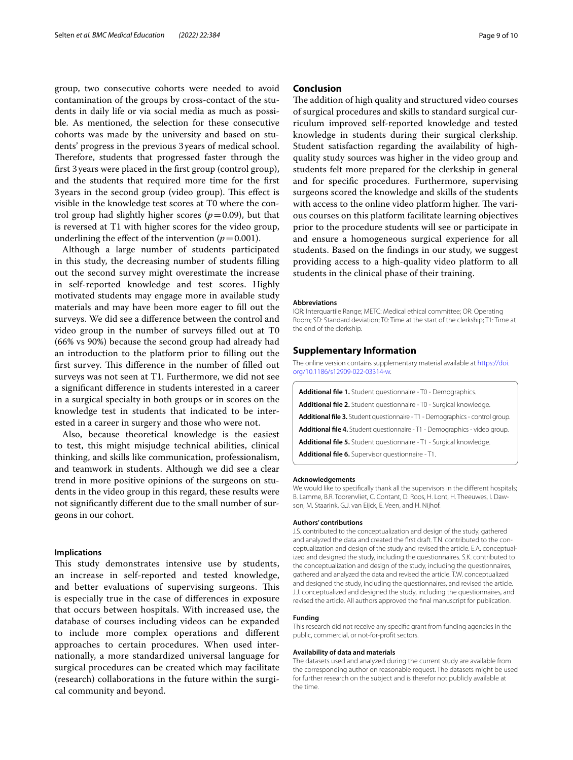group, two consecutive cohorts were needed to avoid contamination of the groups by cross-contact of the students in daily life or via social media as much as possible. As mentioned, the selection for these consecutive cohorts was made by the university and based on students' progress in the previous 3 years of medical school. Therefore, students that progressed faster through the frst 3years were placed in the frst group (control group), and the students that required more time for the frst 3 years in the second group (video group). This effect is visible in the knowledge test scores at T0 where the control group had slightly higher scores  $(p=0.09)$ , but that is reversed at T1 with higher scores for the video group, underlining the effect of the intervention ( $p=0.001$ ).

Although a large number of students participated in this study, the decreasing number of students flling out the second survey might overestimate the increase in self-reported knowledge and test scores. Highly motivated students may engage more in available study materials and may have been more eager to fll out the surveys. We did see a diference between the control and video group in the number of surveys flled out at T0 (66% vs 90%) because the second group had already had an introduction to the platform prior to flling out the first survey. This difference in the number of filled out surveys was not seen at T1. Furthermore, we did not see a signifcant diference in students interested in a career in a surgical specialty in both groups or in scores on the knowledge test in students that indicated to be interested in a career in surgery and those who were not.

Also, because theoretical knowledge is the easiest to test, this might misjudge technical abilities, clinical thinking, and skills like communication, professionalism, and teamwork in students. Although we did see a clear trend in more positive opinions of the surgeons on students in the video group in this regard, these results were not signifcantly diferent due to the small number of surgeons in our cohort.

#### **Implications**

This study demonstrates intensive use by students, an increase in self-reported and tested knowledge, and better evaluations of supervising surgeons. This is especially true in the case of diferences in exposure that occurs between hospitals. With increased use, the database of courses including videos can be expanded to include more complex operations and diferent approaches to certain procedures. When used internationally, a more standardized universal language for surgical procedures can be created which may facilitate (research) collaborations in the future within the surgical community and beyond.

# **Conclusion**

The addition of high quality and structured video courses of surgical procedures and skills to standard surgical curriculum improved self-reported knowledge and tested knowledge in students during their surgical clerkship. Student satisfaction regarding the availability of highquality study sources was higher in the video group and students felt more prepared for the clerkship in general and for specifc procedures. Furthermore, supervising surgeons scored the knowledge and skills of the students with access to the online video platform higher. The various courses on this platform facilitate learning objectives prior to the procedure students will see or participate in and ensure a homogeneous surgical experience for all students. Based on the fndings in our study, we suggest providing access to a high-quality video platform to all students in the clinical phase of their training.

#### **Abbreviations**

IQR: Interquartile Range; METC: Medical ethical committee; OR: Operating Room; SD: Standard deviation; T0: Time at the start of the clerkship; T1: Time at the end of the clerkship.

#### **Supplementary Information**

The online version contains supplementary material available at [https://doi.](https://doi.org/10.1186/s12909-022-03314-w) [org/10.1186/s12909-022-03314-w.](https://doi.org/10.1186/s12909-022-03314-w)

<span id="page-8-5"></span><span id="page-8-4"></span><span id="page-8-3"></span><span id="page-8-2"></span><span id="page-8-1"></span><span id="page-8-0"></span>

| <b>Additional file 1.</b> Student questionnaire - T0 - Demographics.                 |
|--------------------------------------------------------------------------------------|
| Additional file 2. Student questionnaire - T0 - Surgical knowledge.                  |
| <b>Additional file 3.</b> Student questionnaire - T1 - Demographics - control group. |
| <b>Additional file 4.</b> Student questionnaire - T1 - Demographics - video group.   |
| <b>Additional file 5.</b> Student questionnaire - T1 - Surgical knowledge.           |
| <b>Additional file 6.</b> Supervisor questionnaire - T1.                             |

#### **Acknowledgements**

We would like to specifically thank all the supervisors in the different hospitals; B. Lamme, B.R. Toorenvliet, C. Contant, D. Roos, H. Lont, H. Theeuwes, I. Dawson, M. Staarink, G.J. van Eijck, E. Veen, and H. Nijhof.

#### **Authors' contributions**

J.S. contributed to the conceptualization and design of the study, gathered and analyzed the data and created the frst draft. T.N. contributed to the conceptualization and design of the study and revised the article. E.A. conceptualized and designed the study, including the questionnaires. S.K. contributed to the conceptualization and design of the study, including the questionnaires, gathered and analyzed the data and revised the article. T.W. conceptualized and designed the study, including the questionnaires, and revised the article. J.J. conceptualized and designed the study, including the questionnaires, and revised the article. All authors approved the fnal manuscript for publication.

#### **Funding**

This research did not receive any specifc grant from funding agencies in the public, commercial, or not-for-proft sectors.

#### **Availability of data and materials**

The datasets used and analyzed during the current study are available from the corresponding author on reasonable request. The datasets might be used for further research on the subject and is therefor not publicly available at the time.